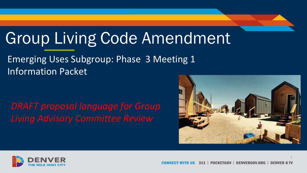# Group Living Code Amendment

### Emerging Uses Subgroup: Phase 3 Meeting 1 Information Packet

*DRAFT proposal language for Group Living Advisory Committee Review*



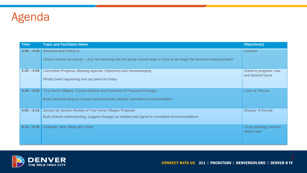

| <b>Time</b>   | <b>Topic and Facilitator Notes</b>                                                                                     | Objective(s)                                  |
|---------------|------------------------------------------------------------------------------------------------------------------------|-----------------------------------------------|
| $4:00 - 4:20$ | Welcome and Check In                                                                                                   | Connect                                       |
|               | Check-in/warm-up activity – Any new learning that the group should keep in mind as we begin the decision-making phase? |                                               |
| $4:20 - 4:45$ | Committee Progress, Meeting Agenda, Objectives and Housekeeping                                                        | Orient to progress, now<br>and desired future |
|               | What's been happening and our plans for today                                                                          |                                               |
| $4:45 - 4:55$ | Tiny Home Villages: Current System and Overview of Proposed Changes                                                    | Learn & Discuss                               |
|               | Build understanding of changes and tentatively identify committee recommendation                                       |                                               |
| $4:55 - 6:15$ | Section by Section Review of Tiny Home Villages Proposal                                                               | Discuss $\rightarrow$ Decide                  |
|               | Build shared understanding, suggest changes as needed and agree to committee recommendations                           |                                               |
| $6:15 - 6:30$ | <b>Gratitude, Next Steps and Close</b>                                                                                 | Close meeting; orient to<br>what's next       |
|               |                                                                                                                        |                                               |

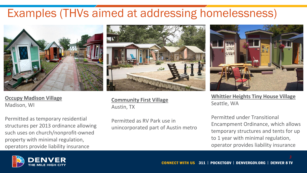# Examples (THVs aimed at addressing homelessness)



**Occupy Madison Village** Madison, WI

Permitted as temporary residential structures per 2013 ordinance allowing such uses on church/nonprofit-owned property with minimal regulation, operators provide liability insurance



**Community First Village** Austin, TX

Permitted as RV Park use in unincorporated part of Austin metro



**Whittier Heights Tiny House Village** Seattle, WA

Permitted under Transitional Encampment Ordinance, which allows temporary structures and tents for up to 1 year with minimal regulation, operator provides liability insurance

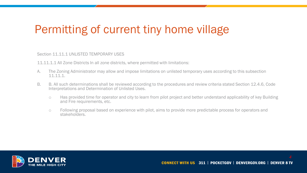### Permitting of current tiny home village

Section 11.11.1 UNLISTED TEMPORARY USES

11.11.1.1 All Zone Districts In all zone districts, where permitted with limitations:

- A. The Zoning Administrator may allow and impose limitations on unlisted temporary uses according to this subsection 11.11.1.
- B. B. All such determinations shall be reviewed according to the procedures and review criteria stated Section 12.4.6, Code Interpretations and Determination of Unlisted Uses.
	- o Has provided time for operator and city to learn from pilot project and better understand applicability of key Building and Fire requirements, etc.
	- o Following proposal based on experience with pilot, aims to provide more predictable process for operators and stakeholders.

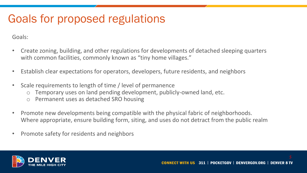# Goals for proposed regulations

Goals:

- Create zoning, building, and other regulations for developments of detached sleeping quarters with common facilities, commonly known as "tiny home villages."
- Establish clear expectations for operators, developers, future residents, and neighbors
- Scale requirements to length of time / level of permanence
	- o Temporary uses on land pending development, publicly-owned land, etc.
	- o Permanent uses as detached SRO housing
- Promote new developments being compatible with the physical fabric of neighborhoods. Where appropriate, ensure building form, siting, and uses do not detract from the public realm
- Promote safety for residents and neighbors

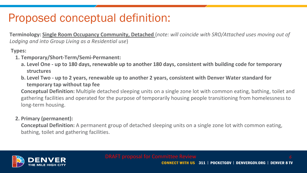### Proposed conceptual definition:

**Terminology: Single Room Occupancy Community, Detached** (*note: will coincide with SRO/Attached uses moving out of Lodging and into Group Living as a Residential use*)

**Types:**

- **1. Temporary/Short-Term/Semi-Permanent:**
	- **a. Level One - up to 180 days, renewable up to another 180 days, consistent with building code for temporary structures**
	- **b. Level Two - up to 2 years, renewable up to another 2 years, consistent with Denver Water standard for temporary tap without tap fee**

**Conceptual Definition:** Multiple detached sleeping units on a single zone lot with common eating, bathing, toilet and gathering facilities and operated for the purpose of temporarily housing people transitioning from homelessness to long-term housing.

#### **2. Primary (permanent):**

**Conceptual Definition:** A permanent group of detached sleeping units on a single zone lot with common eating, bathing, toilet and gathering facilities.

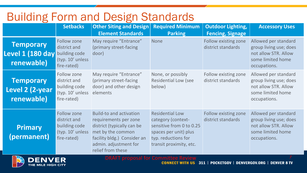### Building Form and Design Standards

|                                                                  | <b>Setbacks</b>                                                                 | <b>Other Siting and Design</b><br><b>Element Standards</b>                                                                                                                       | <b>Required Minimum</b><br><b>Parking</b>                                                                                                           | <b>Outdoor Lighting,</b><br><b>Fencing, Signage</b> | <b>Accessory Uses</b>                                                                                       |
|------------------------------------------------------------------|---------------------------------------------------------------------------------|----------------------------------------------------------------------------------------------------------------------------------------------------------------------------------|-----------------------------------------------------------------------------------------------------------------------------------------------------|-----------------------------------------------------|-------------------------------------------------------------------------------------------------------------|
| <b>Temporary</b><br>Level 1 (180 day building code<br>renewable) | Follow zone<br>district and<br>(typ. 10' unless<br>fire-rated)                  | May require "Entrance"<br>(primary street-facing)<br>door)                                                                                                                       | <b>None</b>                                                                                                                                         | Follow existing zone<br>district standards          | Allowed per standard<br>group living use; does<br>not allow STR. Allow<br>some limited home<br>occupations. |
| <b>Temporary</b><br>Level 2 (2-year<br>renewable)                | Follow zone<br>district and<br>building code<br>(typ. 10' unless<br>fire-rated) | May require "Entrance"<br>(primary street-facing)<br>door) and other design<br>elements                                                                                          | None, or possibly<br><b>Residential Low (see</b><br>below)                                                                                          | Follow existing zone<br>district standards          | Allowed per standard<br>group living use; does<br>not allow STR. Allow<br>some limited home<br>occupations. |
| Primary<br>(permanent)                                           | Follow zone<br>district and<br>building code<br>(typ. 10' unless<br>fire-rated) | Build-to and activation<br>requirements per zone<br>district (typically can be<br>met by the common<br>facility bldg.) Consider an<br>admin. adjustment for<br>relief from these | <b>Residential Low</b><br>category (context-<br>sensitive from 0 to 0.25<br>spaces per unit) plus<br>typ. reductions for<br>transit proximity, etc. | Follow existing zone<br>district standards          | Allowed per standard<br>group living use; does<br>not allow STR. Allow<br>some limited home<br>occupations. |

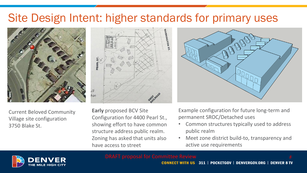### Site Design Intent: higher standards for primary uses



Current Beloved Community Village site configuration 3750 Blake St.



**Early** proposed BCV Site Configuration for 4400 Pearl St., showing effort to have common structure address public realm. Zoning has asked that units also have access to street



Example configuration for future long-term and permanent SROC/Detached uses

- Common structures typically used to address public realm
- Meet zone district build-to, transparency and active use requirements



**CONNECT WITH US 311 | POCKETGOV | DENVERGOV.ORG | DENVER 8 TV**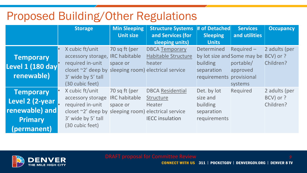### Proposed Building/Other Regulations

|                                                                                        | <b>Storage</b>                                                                                                                 | <b>Min Sleeping</b><br>Unit size                  | <b>Structure Systems</b><br>and Services (for<br>sleeping units)                                                     | # of Detached<br><b>Sleeping</b><br><b>Units</b>                                           | <b>Services</b><br>and utilities                             | <b>Occupancy</b>                        |
|----------------------------------------------------------------------------------------|--------------------------------------------------------------------------------------------------------------------------------|---------------------------------------------------|----------------------------------------------------------------------------------------------------------------------|--------------------------------------------------------------------------------------------|--------------------------------------------------------------|-----------------------------------------|
| <b>Temporary</b><br>Level 1 (180 day<br>renewable)                                     | X cubic ft/unit<br>accessory storage,<br>required in-unit<br>closet $\sim$ 2' deep by<br>3' wide by 5' tall<br>(30 cubic feet) | 70 sq ft (per<br><b>IRC</b> habitable<br>space or | <b>DBCA Temporary</b><br><b>Habitable Structure</b><br>heater<br>sleeping room) electrical service                   | <b>Determined</b><br>by lot size and Some may be<br>building<br>separation<br>requirements | Required-<br>portable/<br>approved<br>provisional<br>systems | 2 adults (per<br>BCV) or ?<br>Children? |
| <b>Temporary</b><br>Level 2 (2-year<br>renewable) and<br><b>Primary</b><br>(permanent) | X cubic ft/unit<br>accessory storage<br>required in-unit<br>closet $\sim$ 2' deep by<br>3' wide by 5' tall<br>(30 cubic feet)  | 70 sq ft (per<br><b>IRC</b> habitable<br>space or | <b>DBCA Residential</b><br>Structure<br><b>Heater</b><br>sleeping room) electrical service<br><b>IECC</b> insulation | Det. by lot<br>size and<br>building<br>separation<br>requirements                          | Required                                                     | 2 adults (per<br>BCV) or ?<br>Children? |